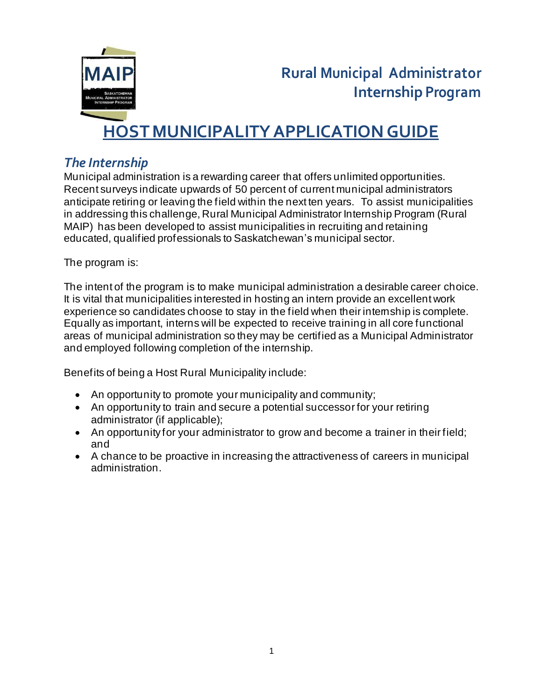

# **HOST MUNICIPALITYAPPLICATION GUIDE**

### *The Internship*

Municipal administration is a rewarding career that offers unlimited opportunities. Recent surveys indicate upwards of 50 percent of current municipal administrators anticipate retiring or leaving the field within the next ten years. To assist municipalities in addressing this challenge, Rural Municipal Administrator Internship Program (Rural MAIP) has been developed to assist municipalities in recruiting and retaining educated, qualified professionals to Saskatchewan's municipal sector.

The program is:

The intent of the program is to make municipal administration a desirable career choice. It is vital that municipalities interested in hosting an intern provide an excellent work experience so candidates choose to stay in the field when their internship is complete. Equally as important, interns will be expected to receive training in all core functional areas of municipal administration so they may be certified as a Municipal Administrator and employed following completion of the internship.

Benefits of being a Host Rural Municipality include:

- An opportunity to promote your municipality and community;
- An opportunity to train and secure a potential successor for your retiring administrator (if applicable);
- An opportunity for your administrator to grow and become a trainer in their field; and
- A chance to be proactive in increasing the attractiveness of careers in municipal administration.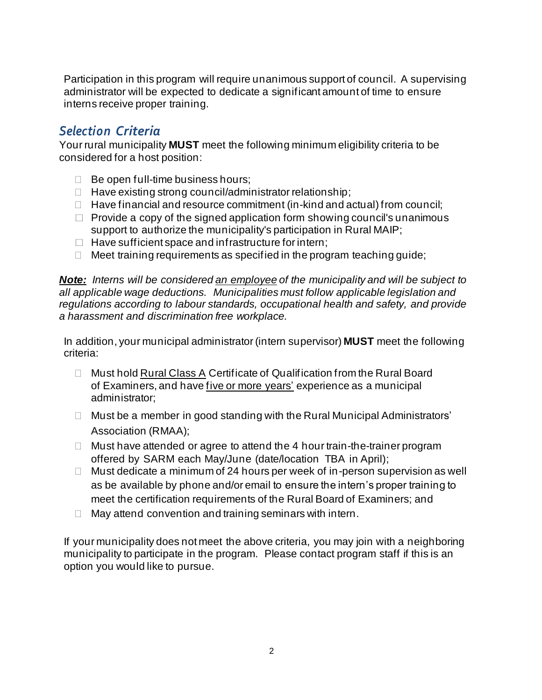Participation in this program will require unanimous support of council. A supervising administrator will be expected to dedicate a significant amount of time to ensure interns receive proper training.

### *Selection Criteria*

Your rural municipality **MUST** meet the following minimum eligibility criteria to be considered for a host position:

- $\Box$  Be open full-time business hours;
- $\Box$  Have existing strong council/administrator relationship;
- $\Box$  Have financial and resource commitment (in-kind and actual) from council;
- $\Box$  Provide a copy of the signed application form showing council's unanimous support to authorize the municipality's participation in Rural MAIP;
- $\Box$  Have sufficient space and infrastructure for intern;
- $\Box$  Meet training requirements as specified in the program teaching quide;

*Note: Interns will be considered an employee of the municipality and will be subject to all applicable wage deductions. Municipalities must follow applicable legislation and regulations according to labour standards, occupational health and safety, and provide a harassment and discrimination free workplace.* 

In addition, your municipal administrator (intern supervisor) **MUST** meet the following criteria:

- □ Must hold Rural Class A Certificate of Qualification from the Rural Board of Examiners, and have five or more years' experience as a municipal administrator;
- □ Must be a member in good standing with the Rural Municipal Administrators' Association (RMAA);
- $\Box$  Must have attended or agree to attend the 4 hour train-the-trainer program offered by SARM each May/June (date/location TBA in April);
- $\Box$  Must dedicate a minimum of 24 hours per week of in-person supervision as well as be available by phone and/or email to ensure the intern's proper training to meet the certification requirements of the Rural Board of Examiners; and
- $\Box$  May attend convention and training seminars with intern.

If your municipality does not meet the above criteria, you may join with a neighboring municipality to participate in the program. Please contact program staff if this is an option you would like to pursue.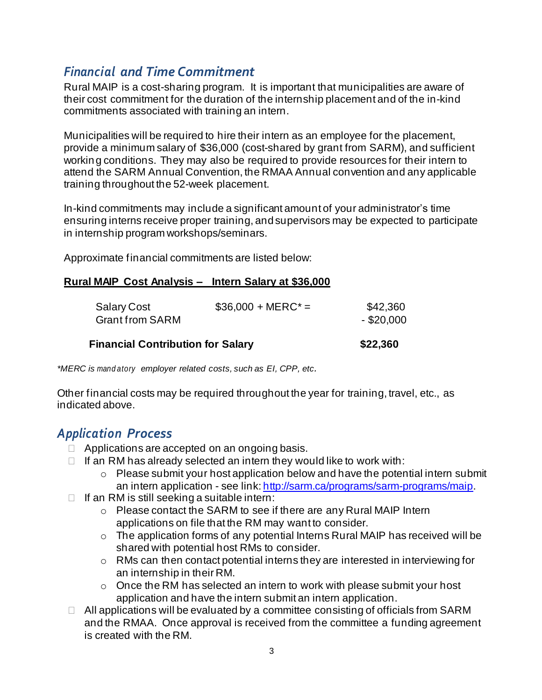### *Financial and Time Commitment*

Rural MAIP is a cost-sharing program. It is important that municipalities are aware of their cost commitment for the duration of the internship placement and of the in-kind commitments associated with training an intern.

Municipalities will be required to hire their intern as an employee for the placement, provide a minimum salary of \$36,000 (cost-shared by grant from SARM), and sufficient working conditions. They may also be required to provide resources for their intern to attend the SARM Annual Convention, the RMAA Annual convention and any applicable training throughout the 52-week placement.

In-kind commitments may include a significant amount of your administrator's time ensuring interns receive proper training, andsupervisors may be expected to participate in internship program workshops/seminars.

Approximate financial commitments are listed below:

#### **Rural MAIP Cost Analysis – Intern Salary at \$36,000**

| <b>Financial Contribution for Salary</b>                             | \$22,360                 |
|----------------------------------------------------------------------|--------------------------|
| $$36,000 + MERC^* =$<br><b>Salary Cost</b><br><b>Grant from SARM</b> | \$42,360<br>$-$ \$20,000 |

*\*MERC is mand atory employer related costs, such as EI, CPP, etc.*

Other financial costs may be required throughout the year for training, travel, etc., as indicated above.

### *Application Process*

- $\Box$  Applications are accepted on an ongoing basis.
- $\Box$  If an RM has already selected an intern they would like to work with:
	- o Please submit your host application below and have the potential intern submit an intern application - see link: http://sarm.ca/programs/sarm-programs/maip.
- $\Box$  If an RM is still seeking a suitable intern:
	- o Please contact the SARM to see if there are any Rural MAIP Intern applications on file that the RM may want to consider.
	- o The application forms of any potential Interns Rural MAIP has received will be shared with potential host RMs to consider.
	- o RMs can then contact potential interns they are interested in interviewing for an internship in their RM.
	- $\circ$  Once the RM has selected an intern to work with please submit your host application and have the intern submit an intern application.
- $\Box$  All applications will be evaluated by a committee consisting of officials from SARM and the RMAA. Once approval is received from the committee a funding agreement is created with the RM.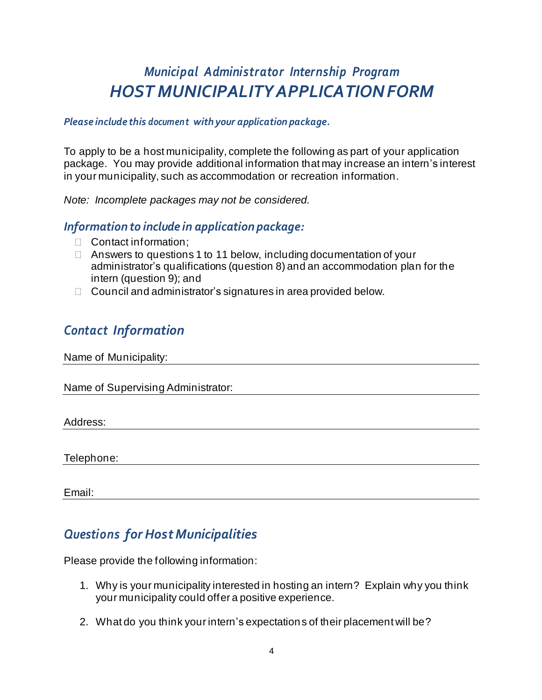## *Municipal Administrator Internship Program HOST MUNICIPALITY APPLICATIONFORM*

#### *Please include this document with your application package.*

To apply to be a host municipality, complete the following as part of your application package. You may provide additional information that may increase an intern's interest in your municipality, such as accommodation or recreation information.

*Note: Incomplete packages may not be considered.*

### *Information to include in application package:*

- Contact information;
- $\Box$  Answers to questions 1 to 11 below, including documentation of your administrator's qualifications (question 8) and an accommodation plan for the intern (question 9); and
- $\Box$  Council and administrator's signatures in area provided below.

### *Contact Information*

Name of Municipality:

Name of Supervising Administrator:

Address:

Telephone:

Email:

### *Questions for HostMunicipalities*

Please provide the following information:

- 1. Why is your municipality interested in hosting an intern? Explain why you think your municipality could offer a positive experience.
- 2. What do you think your intern's expectations of their placement will be?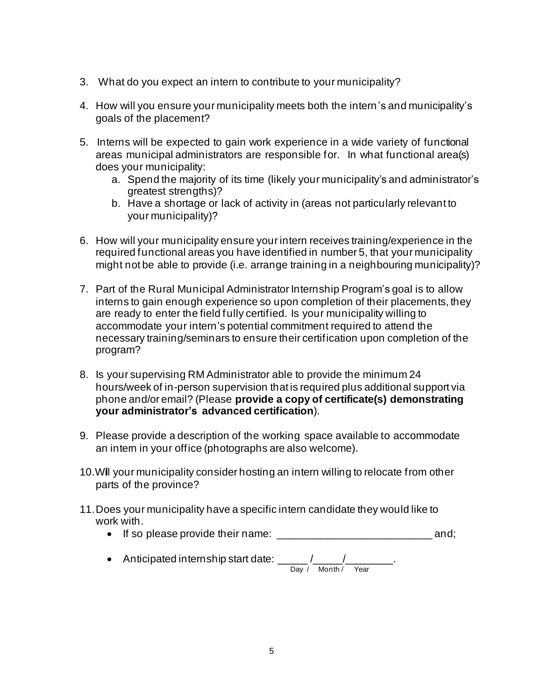- 3. What do you expect an intern to contribute to your municipality?
- 4. How will you ensure your municipality meets both the intern's and municipality's goals of the placement?
- 5. Interns will be expected to gain work experience in a wide variety of functional areas municipal administrators are responsible for. In what functional area(s) does your municipality:
	- a. Spend the majority of its time (likely your municipality's and administrator's greatest strengths)?
	- b. Have a shortage or lack of activity in (areas not particularly relevant to your municipality)?
- 6. How will your municipality ensure your intern receives training/experience in the required functional areas you have identified in number 5, that your municipality might not be able to provide (i.e. arrange training in a neighbouring municipality)?
- 7. Part of the Rural Municipal Administrator Internship Program's goal is to allow interns to gain enough experience so upon completion of their placements, they are ready to enter the field fully certified. Is your municipality willing to accommodate your intern's potential commitment required to attend the necessary training/seminars to ensure their certification upon completion of the program?
- 8. Is your supervising RM Administrator able to provide the minimum 24 hours/week of in-person supervision that is required plus additional support via phone and/or email? (Please **provide a copy of certificate(s) demonstrating your administrator's advanced certification**).
- 9. Please provide a description of the working space available to accommodate an intem in your office (photographs are also welcome).
- 10.Will your municipality consider hosting an intern willing to relocate from other parts of the province?
- 11.Does your municipality have a specific intern candidate they would like to work with.
	- If so please provide their name: \_\_\_\_\_\_\_\_\_\_\_\_\_\_\_\_\_\_\_\_\_\_\_\_\_\_ and;
	- Anticipated internship start date:  $\frac{1}{2}$  /  $\frac{1}{2}$  /  $\frac{1}{2}$  /  $\frac{1}{2}$  /  $\frac{1}{2}$ Day / Month / Year